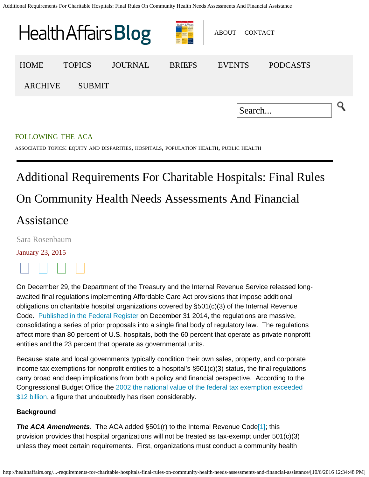<span id="page-0-0"></span>

# Additional Requirements For Charitable Hospitals: Final Rules

# On Community Health Needs Assessments And Financial

## Assistance

[Sara Rosenbaum](http://healthaffairs.org/blog/author/rosenbaum/)

### January 23, 2015



On December 29, the Department of the Treasury and the Internal Revenue Service released longawaited final regulations implementing Affordable Care Act provisions that impose additional obligations on charitable hospital organizations covered by §501(c)(3) of the Internal Revenue Code. [Published in the Federal Register](http://www.gpo.gov/fdsys/pkg/FR-2014-12-31/html/2014-30525.htm) on December 31 2014, the regulations are massive, consolidating a series of prior proposals into a single final body of regulatory law. The regulations affect more than 80 percent of U.S. hospitals, both the 60 percent that operate as private nonprofit entities and the 23 percent that operate as governmental units.

Because state and local governments typically condition their own sales, property, and corporate income tax exemptions for nonprofit entities to a hospital's §501(c)(3) status, the final regulations carry broad and deep implications from both a policy and financial perspective. According to the Congressional Budget Office the [2002 the national value of the federal tax exemption exceeded](http://www.cbo.gov/sites/default/files/12-06-nonprofit.pdf) [\\$12 billion](http://www.cbo.gov/sites/default/files/12-06-nonprofit.pdf), a figure that undoubtedly has risen considerably.

### **Background**

<span id="page-0-1"></span>**The ACA Amendments**. The ACA added §501(r) to the Internal Revenue Code<sup>[1]</sup>; this provision provides that hospital organizations will not be treated as tax-exempt under 501(c)(3) unless they meet certain requirements. First, organizations must conduct a community health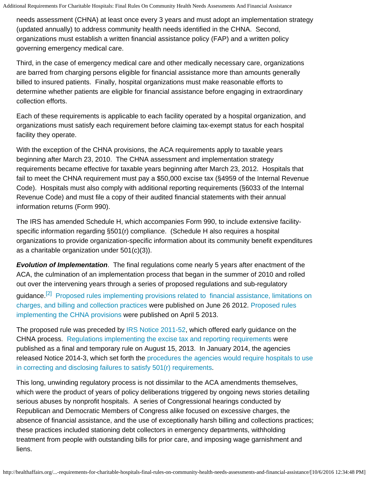needs assessment (CHNA) at least once every 3 years and must adopt an implementation strategy (updated annually) to address community health needs identified in the CHNA. Second, organizations must establish a written financial assistance policy (FAP) and a written policy governing emergency medical care.

Third, in the case of emergency medical care and other medically necessary care, organizations are barred from charging persons eligible for financial assistance more than amounts generally billed to insured patients. Finally, hospital organizations must make reasonable efforts to determine whether patients are eligible for financial assistance before engaging in extraordinary collection efforts.

Each of these requirements is applicable to each facility operated by a hospital organization, and organizations must satisfy each requirement before claiming tax-exempt status for each hospital facility they operate.

With the exception of the CHNA provisions, the ACA requirements apply to taxable years beginning after March 23, 2010. The CHNA assessment and implementation strategy requirements became effective for taxable years beginning after March 23, 2012. Hospitals that fail to meet the CHNA requirement must pay a \$50,000 excise tax (§4959 of the Internal Revenue Code). Hospitals must also comply with additional reporting requirements (§6033 of the Internal Revenue Code) and must file a copy of their audited financial statements with their annual information returns (Form 990).

The IRS has amended Schedule H, which accompanies Form 990, to include extensive facilityspecific information regarding §501(r) compliance. (Schedule H also requires a hospital organizations to provide organization-specific information about its community benefit expenditures as a charitable organization under 501(c)(3)).

*Evolution of Implementation*. The final regulations come nearly 5 years after enactment of the ACA, the culmination of an implementation process that began in the summer of 2010 and rolled out over the intervening years through a series of proposed regulations and sub-regulatory

<span id="page-1-0"></span>quidance.<sup>[\[2\]](#page-10-1)</sup> [Proposed rules implementing provisions related to financial assistance, limitations on](http://www.gpo.gov/fdsys/pkg/FR-2012-06-26/pdf/2012-15537.pdf) [charges, and billing and collection practices](http://www.gpo.gov/fdsys/pkg/FR-2012-06-26/pdf/2012-15537.pdf) were published on June 26 2012. [Proposed rules](http://www.gpo.gov/fdsys/pkg/FR-2013-04-05/pdf/2013-07951.pdf) [implementing the CHNA provisions](http://www.gpo.gov/fdsys/pkg/FR-2013-04-05/pdf/2013-07951.pdf) were published on April 5 2013.

The proposed rule was preceded by [IRS Notice 2011-52](http://www.irs.gov/pub/irs-drop/n-11-52.pdf), which offered early guidance on the CHNA process. [Regulations implementing the excise tax and reporting requirements](http://www.gpo.gov/fdsys/pkg/FR-2013-08-15/pdf/2013-19930.pdf) were published as a final and temporary rule on August 15, 2013. In January 2014, the agencies released Notice 2014-3, which set forth the [procedures the agencies would require hospitals to use](http://www.irs.gov/pub/irs-drop/n-14-03.pdf) [in correcting and disclosing failures to satisfy 501\(r\) requirements](http://www.irs.gov/pub/irs-drop/n-14-03.pdf).

This long, unwinding regulatory process is not dissimilar to the ACA amendments themselves, which were the product of years of policy deliberations triggered by ongoing news stories detailing serious abuses by nonprofit hospitals. A series of Congressional hearings conducted by Republican and Democratic Members of Congress alike focused on excessive charges, the absence of financial assistance, and the use of exceptionally harsh billing and collections practices; these practices included stationing debt collectors in emergency departments, withholding treatment from people with outstanding bills for prior care, and imposing wage garnishment and liens.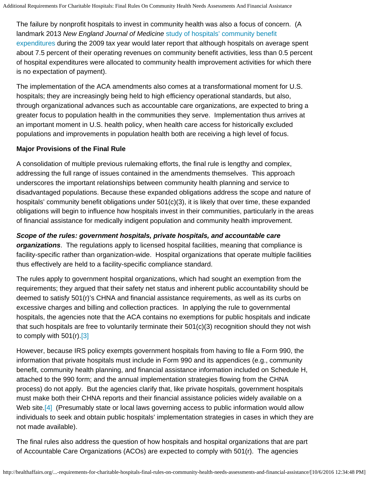The failure by nonprofit hospitals to invest in community health was also a focus of concern. (A landmark 2013 *New England Journal of Medicine* [study of hospitals' community benefit](http://www.nejm.org/doi/pdf/10.1056/NEJMsa1210239) [expenditures](http://www.nejm.org/doi/pdf/10.1056/NEJMsa1210239) during the 2009 tax year would later report that although hospitals on average spent about 7.5 percent of their operating revenues on community benefit activities, less than 0.5 percent of hospital expenditures were allocated to community health improvement activities for which there is no expectation of payment).

The implementation of the ACA amendments also comes at a transformational moment for U.S. hospitals; they are increasingly being held to high efficiency operational standards, but also, through organizational advances such as accountable care organizations, are expected to bring a greater focus to population health in the communities they serve. Implementation thus arrives at an important moment in U.S. health policy, when health care access for historically excluded populations and improvements in population health both are receiving a high level of focus.

### **Major Provisions of the Final Rule**

A consolidation of multiple previous rulemaking efforts, the final rule is lengthy and complex, addressing the full range of issues contained in the amendments themselves. This approach underscores the important relationships between community health planning and service to disadvantaged populations. Because these expanded obligations address the scope and nature of hospitals' community benefit obligations under 501(c)(3), it is likely that over time, these expanded obligations will begin to influence how hospitals invest in their communities, particularly in the areas of financial assistance for medically indigent population and community health improvement.

*Scope of the rules: government hospitals, private hospitals, and accountable care organizations*. The regulations apply to licensed hospital facilities, meaning that compliance is facility-specific rather than organization-wide. Hospital organizations that operate multiple facilities thus effectively are held to a facility-specific compliance standard.

The rules apply to government hospital organizations, which had sought an exemption from the requirements; they argued that their safety net status and inherent public accountability should be deemed to satisfy 501(r)'s CHNA and financial assistance requirements, as well as its curbs on excessive charges and billing and collection practices. In applying the rule to governmental hospitals, the agencies note that the ACA contains no exemptions for public hospitals and indicate that such hospitals are free to voluntarily terminate their 501(c)(3) recognition should they not wish to comply with  $501(r)$ . [\[3\]](#page-10-2)

<span id="page-2-0"></span>However, because IRS policy exempts government hospitals from having to file a Form 990, the information that private hospitals must include in Form 990 and its appendices (e.g., community benefit, community health planning, and financial assistance information included on Schedule H, attached to the 990 form; and the annual implementation strategies flowing from the CHNA process) do not apply. But the agencies clarify that, like private hospitals, government hospitals must make both their CHNA reports and their financial assistance policies widely available on a Web site.<sup>[4]</sup> (Presumably state or local laws governing access to public information would allow individuals to seek and obtain public hospitals' implementation strategies in cases in which they are not made available).

<span id="page-2-1"></span>The final rules also address the question of how hospitals and hospital organizations that are part of Accountable Care Organizations (ACOs) are expected to comply with 501(r). The agencies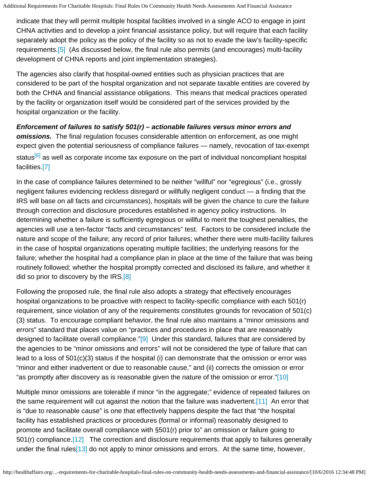indicate that they will permit multiple hospital facilities involved in a single ACO to engage in joint CHNA activities and to develop a joint financial assistance policy, but will require that each facility separately adopt the policy as the policy of the facility so as not to evade the law's facility-specific requirements[.\[5\]](#page-10-4) (As discussed below, the final rule also permits (and encourages) multi-facility development of CHNA reports and joint implementation strategies).

<span id="page-3-0"></span>The agencies also clarify that hospital-owned entities such as physician practices that are considered to be part of the hospital organization and not separate taxable entities are covered by both the CHNA and financial assistance obligations. This means that medical practices operated by the facility or organization itself would be considered part of the services provided by the hospital organization or the facility.

*Enforcement of failures to satisfy 501(r) – actionable failures versus minor errors and omissions.* The final regulation focuses considerable attention on enforcement, as one might expect given the potential seriousness of compliance failures — namely, revocation of tax-exempt status<sup>[6]</sup> as well as corporate income tax exposure on the part of individual noncompliant hospital facilities[.\[7\]](#page-11-0)

<span id="page-3-2"></span><span id="page-3-1"></span>In the case of compliance failures determined to be neither "willful" nor "egregious" (i.e., grossly negligent failures evidencing reckless disregard or willfully negligent conduct — a finding that the IRS will base on all facts and circumstances), hospitals will be given the chance to cure the failure through correction and disclosure procedures established in agency policy instructions. In determining whether a failure is sufficiently egregious or willful to merit the toughest penalties, the agencies will use a ten-factor "facts and circumstances" test. Factors to be considered include the nature and scope of the failure; any record of prior failures; whether there were multi-facility failures in the case of hospital organizations operating multiple facilities; the underlying reasons for the failure; whether the hospital had a compliance plan in place at the time of the failure that was being routinely followed; whether the hospital promptly corrected and disclosed its failure, and whether it did so prior to discovery by the IRS[.\[8\]](#page-11-1)

<span id="page-3-4"></span><span id="page-3-3"></span>Following the proposed rule, the final rule also adopts a strategy that effectively encourages hospital organizations to be proactive with respect to facility-specific compliance with each 501(r) requirement, since violation of any of the requirements constitutes grounds for revocation of 501(c) (3) status. To encourage compliant behavior, the final rule also maintains a "minor omissions and errors" standard that places value on "practices and procedures in place that are reasonably designed to facilitate overall compliance."[\[9\]](#page-11-2) Under this standard, failures that are considered by the agencies to be "minor omissions and errors" will not be considered the type of failure that can lead to a loss of 501(c)(3) status if the hospital (i) can demonstrate that the omission or error was "minor and either inadvertent or due to reasonable cause," and (ii) corrects the omission or error "as promptly after discovery as is reasonable given the nature of the omission or error.["\[10\]](#page-11-3)

<span id="page-3-8"></span><span id="page-3-7"></span><span id="page-3-6"></span><span id="page-3-5"></span>Multiple minor omissions are tolerable if minor "in the aggregate;" evidence of repeated failures on the same requirement will cut against the notion that the failure was inadvertent.[\[11\]](#page-11-4) An error that is "due to reasonable cause" is one that effectively happens despite the fact that "the hospital facility has established practices or procedures (formal or informal) reasonably designed to promote and facilitate overall compliance with §501(r) prior to" an omission or failure going to 501(r) compliance.<sup>[12]</sup> The correction and disclosure requirements that apply to failures generally under the final rules<sup>[13]</sup> do not apply to minor omissions and errors. At the same time, however,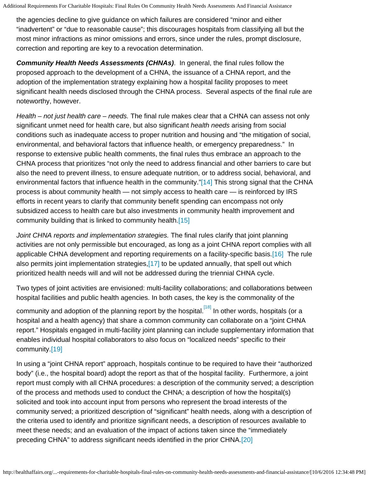the agencies decline to give guidance on which failures are considered "minor and either "inadvertent" or "due to reasonable cause"; this discourages hospitals from classifying all but the most minor infractions as minor omissions and errors, since under the rules, prompt disclosure, correction and reporting are key to a revocation determination.

*Community Health Needs Assessments (CHNAs)*. In general, the final rules follow the proposed approach to the development of a CHNA, the issuance of a CHNA report, and the adoption of the implementation strategy explaining how a hospital facility proposes to meet significant health needs disclosed through the CHNA process. Several aspects of the final rule are noteworthy, however.

*Health – not just health care – needs.* The final rule makes clear that a CHNA can assess not only significant unmet need for health care, but also significant *health needs* arising from social conditions such as inadequate access to proper nutrition and housing and "the mitigation of social, environmental, and behavioral factors that influence health, or emergency preparedness." In response to extensive public health comments, the final rules thus embrace an approach to the CHNA process that prioritizes "not only the need to address financial and other barriers to care but also the need to prevent illness, to ensure adequate nutrition, or to address social, behavioral, and environmental factors that influence health in the community.["\[14\]](#page-11-7) This strong signal that the CHNA process is about community health — not simply access to health care — is reinforced by IRS efforts in recent years to clarify that community benefit spending can encompass not only subsidized access to health care but also investments in community health improvement and community building that is linked to community health[.\[15\]](#page-11-8)

<span id="page-4-2"></span><span id="page-4-1"></span><span id="page-4-0"></span>*Joint CHNA reports and implementation strategies.* The final rules clarify that joint planning activities are not only permissible but encouraged, as long as a joint CHNA report complies with all applicable CHNA development and reporting requirements on a facility-specific basis.[\[16\]](#page-11-9) The rule also permits joint implementation strategies[,\[17\]](#page-11-10) to be updated annually, that spell out which prioritized health needs will and will not be addressed during the triennial CHNA cycle.

<span id="page-4-3"></span>Two types of joint activities are envisioned: multi-facility collaborations; and collaborations between hospital facilities and public health agencies. In both cases, the key is the commonality of the

<span id="page-4-4"></span>community and adoption of the planning report by the hospital.<sup>[\[18\]](#page-11-11)</sup> In other words, hospitals (or a hospital and a health agency) that share a common community can collaborate on a "joint CHNA report." Hospitals engaged in multi-facility joint planning can include supplementary information that enables individual hospital collaborators to also focus on "localized needs" specific to their community[.\[19\]](#page-11-12)

<span id="page-4-6"></span><span id="page-4-5"></span>In using a "joint CHNA report" approach, hospitals continue to be required to have their "authorized body" (i.e., the hospital board) adopt the report as that of the hospital facility. Furthermore, a joint report must comply with all CHNA procedures: a description of the community served; a description of the process and methods used to conduct the CHNA; a description of how the hospital(s) solicited and took into account input from persons who represent the broad interests of the community served; a prioritized description of "significant" health needs, along with a description of the criteria used to identify and prioritize significant needs, a description of resources available to meet these needs; and an evaluation of the impact of actions taken since the "immediately preceding CHNA" to address significant needs identified in the prior CHNA[.\[20\]](#page-11-13)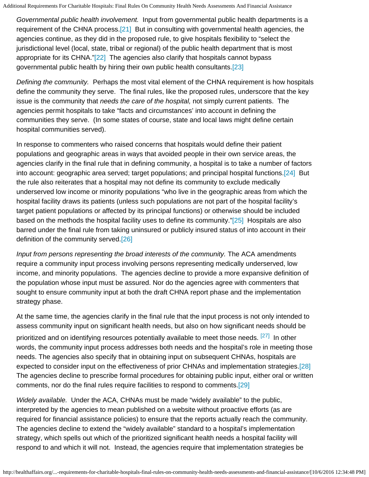<span id="page-5-0"></span>*Governmental public health involvement.* Input from governmental public health departments is a requirement of the CHNA process.<sup>[21]</sup> But in consulting with governmental health agencies, the agencies continue, as they did in the proposed rule, to give hospitals flexibility to "select the jurisdictional level (local, state, tribal or regional) of the public health department that is most appropriate for its CHNA.["\[22\]](#page-11-15) The agencies also clarify that hospitals cannot bypass governmental public health by hiring their own public health consultants[.\[23\]](#page-11-16)

<span id="page-5-2"></span><span id="page-5-1"></span>*Defining the community.* Perhaps the most vital element of the CHNA requirement is how hospitals define the community they serve. The final rules, like the proposed rules, underscore that the key issue is the community that *needs the care of the hospital,* not simply current patients. The agencies permit hospitals to take "facts and circumstances' into account in defining the communities they serve. (In some states of course, state and local laws might define certain hospital communities served).

<span id="page-5-3"></span>In response to commenters who raised concerns that hospitals would define their patient populations and geographic areas in ways that avoided people in their own service areas, the agencies clarify in the final rule that in defining community, a hospital is to take a number of factors into account: geographic area served; target populations; and principal hospital functions[.\[24\]](#page-11-17) But the rule also reiterates that a hospital may not define its community to exclude medically underserved low income or minority populations "who live in the geographic areas from which the hospital facility draws its patients (unless such populations are not part of the hospital facility's target patient populations or affected by its principal functions) or otherwise should be included based on the methods the hospital facility uses to define its community.["\[25\]](#page-11-18) Hospitals are also barred under the final rule from taking uninsured or publicly insured status of into account in their definition of the community served[.\[26\]](#page-11-19)

<span id="page-5-5"></span><span id="page-5-4"></span>*Input from persons representing the broad interests of the community.* The ACA amendments require a community input process involving persons representing medically underserved, low income, and minority populations. The agencies decline to provide a more expansive definition of the population whose input must be assured. Nor do the agencies agree with commenters that sought to ensure community input at both the draft CHNA report phase and the implementation strategy phase.

<span id="page-5-6"></span>At the same time, the agencies clarify in the final rule that the input process is not only intended to assess community input on significant health needs, but also on how significant needs should be prioritized and on identifying resources potentially available to meet those needs. [\[27\]](#page-11-20) In other words, the community input process addresses both needs and the hospital's role in meeting those needs. The agencies also specify that in obtaining input on subsequent CHNAs, hospitals are expected to consider input on the effectiveness of prior CHNAs and implementation strategies.[\[28\]](#page-11-21) The agencies decline to prescribe formal procedures for obtaining public input, either oral or written comments, nor do the final rules require facilities to respond to comments.[\[29\]](#page-11-22)

<span id="page-5-8"></span><span id="page-5-7"></span>*Widely available.* Under the ACA, CHNAs must be made "widely available" to the public, interpreted by the agencies to mean published on a website without proactive efforts (as are required for financial assistance policies) to ensure that the reports actually reach the community. The agencies decline to extend the "widely available" standard to a hospital's implementation strategy, which spells out which of the prioritized significant health needs a hospital facility will respond to and which it will not. Instead, the agencies require that implementation strategies be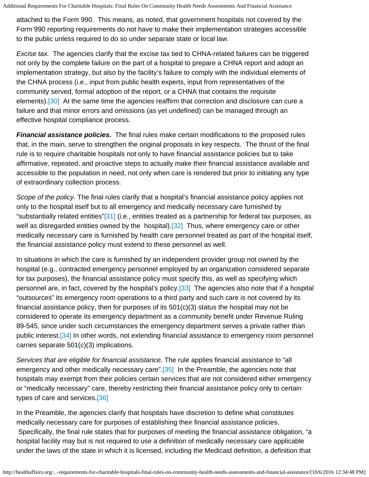attached to the Form 990. This means, as noted, that government hospitals not covered by the Form 990 reporting requirements do not have to make their implementation strategies accessible to the public unless required to do so under separate state or local law.

*Excise tax.* The agencies clarify that the excise tax tied to CHNA-related failures can be triggered not only by the complete failure on the part of a hospital to prepare a CHNA report and adopt an implementation strategy, but also by the facility's failure to comply with the individual elements of the CHNA process (i.e., input from public health experts, input from representatives of the community served, formal adoption of the report, or a CHNA that contains the requisite elements).[\[30\]](#page-11-23) At the same time the agencies reaffirm that correction and disclosure can cure a failure and that minor errors and omissions (as yet undefined) can be managed through an effective hospital compliance process.

<span id="page-6-0"></span>*Financial assistance policies.* The final rules make certain modifications to the proposed rules that, in the main, serve to strengthen the original proposals in key respects. The thrust of the final rule is to require charitable hospitals not only to have financial assistance policies but to take affirmative, repeated, and proactive steps to actually make their financial assistance available and accessible to the population in need, not only when care is rendered but prior to initiating any type of extraordinary collection process.

<span id="page-6-2"></span><span id="page-6-1"></span>*Scope of the policy.* The final rules clarify that a hospital's financial assistance policy applies not only to the hospital itself but to all emergency and medically necessary care furnished by "substantially related entities"[\[31\]](#page-11-24) (i.e., entities treated as a partnership for federal tax purposes, as well as disregarded entities owned by the hospital).<sup>[\[32\]](#page-11-25)</sup> Thus, where emergency care or other medically necessary care is furnished by health care personnel treated as part of the hospital itself, the financial assistance policy must extend to these personnel as well.

<span id="page-6-3"></span>In situations in which the care is furnished by an independent provider group not owned by the hospital (e.g., contracted emergency personnel employed by an organization considered separate for tax purposes), the financial assistance policy must specify this, as well as specifying which personnel are, in fact, covered by the hospital's policy.<sup>[33]</sup> The agencies also note that if a hospital "outsources" its emergency room operations to a third party and such care is not covered by its financial assistance policy, then for purposes of its 501(c)(3) status the hospital may not be considered to operate its emergency department as a community benefit under Revenue Ruling 89-545, since under such circumstances the emergency department serves a private rather than public interest[.\[34\]](#page-11-27) In other words, not extending financial assistance to emergency room personnel carries separate 501(c)(3) implications.

<span id="page-6-5"></span><span id="page-6-4"></span>*Services that are eligible for financial assistance.* The rule applies financial assistance to "all emergency and other medically necessary care".[\[35\]](#page-11-28) In the Preamble, the agencies note that hospitals may exempt from their policies certain services that are not considered either emergency or "medically necessary" care, thereby restricting their financial assistance policy only to certain types of care and services[.\[36\]](#page-12-0)

<span id="page-6-6"></span>In the Preamble, the agencies clarify that hospitals have discretion to define what constitutes medically necessary care for purposes of establishing their financial assistance policies. Specifically, the final rule states that for purposes of meeting the financial assistance obligation, "a hospital facility may but is not required to use a definition of medically necessary care applicable under the laws of the state in which it is licensed, including the Medicaid definition, a definition that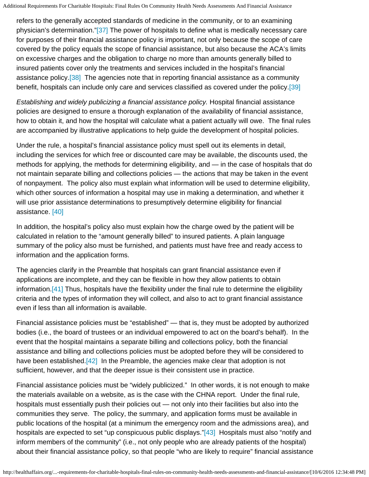<span id="page-7-0"></span>refers to the generally accepted standards of medicine in the community, or to an examining physician's determination.["\[37\]](#page-12-1) The power of hospitals to define what is medically necessary care for purposes of their financial assistance policy is important, not only because the scope of care covered by the policy equals the scope of financial assistance, but also because the ACA's limits on excessive charges and the obligation to charge no more than amounts generally billed to insured patients cover only the treatments and services included in the hospital's financial assistance policy[.\[38\]](#page-12-2) The agencies note that in reporting financial assistance as a community benefit, hospitals can include only care and services classified as covered under the policy.[\[39\]](#page-12-3)

<span id="page-7-2"></span><span id="page-7-1"></span>*Establishing and widely publicizing a financial assistance policy.* Hospital financial assistance policies are designed to ensure a thorough explanation of the availability of financial assistance, how to obtain it, and how the hospital will calculate what a patient actually will owe. The final rules are accompanied by illustrative applications to help guide the development of hospital policies.

Under the rule, a hospital's financial assistance policy must spell out its elements in detail, including the services for which free or discounted care may be available, the discounts used, the methods for applying, the methods for determining eligibility, and — in the case of hospitals that do not maintain separate billing and collections policies — the actions that may be taken in the event of nonpayment. The policy also must explain what information will be used to determine eligibility, which other sources of information a hospital may use in making a determination, and whether it will use prior assistance determinations to presumptively determine eligibility for financial assistance. [\[40\]](#page-12-4)

<span id="page-7-3"></span>In addition, the hospital's policy also must explain how the charge owed by the patient will be calculated in relation to the "amount generally billed" to insured patients. A plain language summary of the policy also must be furnished, and patients must have free and ready access to information and the application forms.

<span id="page-7-4"></span>The agencies clarify in the Preamble that hospitals can grant financial assistance even if applications are incomplete, and they can be flexible in how they allow patients to obtain information[.\[41\]](#page-12-5) Thus, hospitals have the flexibility under the final rule to determine the eligibility criteria and the types of information they will collect, and also to act to grant financial assistance even if less than all information is available.

Financial assistance policies must be "established" — that is, they must be adopted by authorized bodies (i.e., the board of trustees or an individual empowered to act on the board's behalf). In the event that the hospital maintains a separate billing and collections policy, both the financial assistance and billing and collections policies must be adopted before they will be considered to have been established.<sup>[\[42\]](#page-12-6)</sup> In the Preamble, the agencies make clear that adoption is not sufficient, however, and that the deeper issue is their consistent use in practice.

<span id="page-7-6"></span><span id="page-7-5"></span>Financial assistance policies must be "widely publicized." In other words, it is not enough to make the materials available on a website, as is the case with the CHNA report. Under the final rule, hospitals must essentially push their policies out — not only into their facilities but also into the communities they serve. The policy, the summary, and application forms must be available in public locations of the hospital (at a minimum the emergency room and the admissions area), and hospitals are expected to set "up conspicuous public displays."[\[43\]](#page-12-7) Hospitals must also "notify and inform members of the community" (i.e., not only people who are already patients of the hospital) about their financial assistance policy, so that people "who are likely to require" financial assistance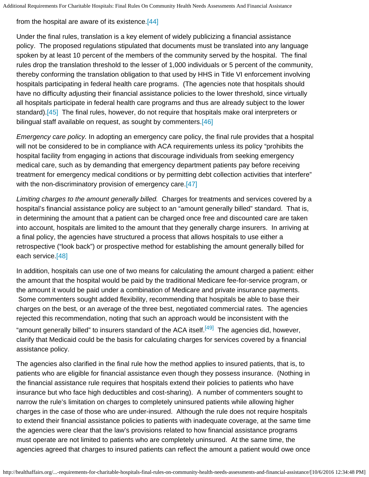<span id="page-8-0"></span>from the hospital are aware of its existence[.\[44\]](#page-12-8)

Under the final rules, translation is a key element of widely publicizing a financial assistance policy. The proposed regulations stipulated that documents must be translated into any language spoken by at least 10 percent of the members of the community served by the hospital. The final rules drop the translation threshold to the lesser of 1,000 individuals or 5 percent of the community, thereby conforming the translation obligation to that used by HHS in Title VI enforcement involving hospitals participating in federal health care programs. (The agencies note that hospitals should have no difficulty adjusting their financial assistance policies to the lower threshold, since virtually all hospitals participate in federal health care programs and thus are already subject to the lower standard).[\[45\]](#page-12-9) The final rules, however, do not require that hospitals make oral interpreters or bilingual staff available on request, as sought by commenters.[\[46\]](#page-12-10)

<span id="page-8-2"></span><span id="page-8-1"></span>*Emergency care policy.* In adopting an emergency care policy, the final rule provides that a hospital will not be considered to be in compliance with ACA requirements unless its policy "prohibits the hospital facility from engaging in actions that discourage individuals from seeking emergency medical care, such as by demanding that emergency department patients pay before receiving treatment for emergency medical conditions or by permitting debt collection activities that interfere" with the non-discriminatory provision of emergency care.<sup>[\[47\]](#page-12-11)</sup>

<span id="page-8-3"></span>*Limiting charges to the amount generally billed.* Charges for treatments and services covered by a hospital's financial assistance policy are subject to an "amount generally billed" standard. That is, in determining the amount that a patient can be charged once free and discounted care are taken into account, hospitals are limited to the amount that they generally charge insurers. In arriving at a final policy, the agencies have structured a process that allows hospitals to use either a retrospective ("look back") or prospective method for establishing the amount generally billed for each service[.\[48\]](#page-12-12)

<span id="page-8-4"></span>In addition, hospitals can use one of two means for calculating the amount charged a patient: either the amount that the hospital would be paid by the traditional Medicare fee-for-service program, or the amount it would be paid under a combination of Medicare and private insurance payments. Some commenters sought added flexibility, recommending that hospitals be able to base their charges on the best, or an average of the three best, negotiated commercial rates. The agencies rejected this recommendation, noting that such an approach would be inconsistent with the "amount generally billed" to insurers standard of the ACA itself.<sup>[\[49\]](#page-12-13)</sup> The agencies did, however, clarify that Medicaid could be the basis for calculating charges for services covered by a financial assistance policy.

<span id="page-8-5"></span>The agencies also clarified in the final rule how the method applies to insured patients, that is, to patients who are eligible for financial assistance even though they possess insurance. (Nothing in the financial assistance rule requires that hospitals extend their policies to patients who have insurance but who face high deductibles and cost-sharing). A number of commenters sought to narrow the rule's limitation on charges to completely uninsured patients while allowing higher charges in the case of those who are under-insured. Although the rule does not require hospitals to extend their financial assistance policies to patients with inadequate coverage, at the same time the agencies were clear that the law's provisions related to how financial assistance programs must operate are not limited to patients who are completely uninsured. At the same time, the agencies agreed that charges to insured patients can reflect the amount a patient would owe once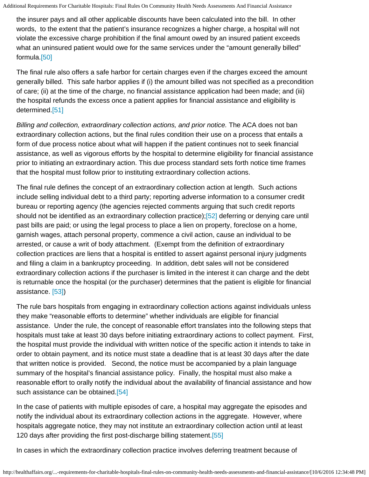the insurer pays and all other applicable discounts have been calculated into the bill. In other words, to the extent that the patient's insurance recognizes a higher charge, a hospital will not violate the excessive charge prohibition if the final amount owed by an insured patient exceeds what an uninsured patient would owe for the same services under the "amount generally billed" formula.[\[50\]](#page-12-14)

<span id="page-9-0"></span>The final rule also offers a safe harbor for certain charges even if the charges exceed the amount generally billed. This safe harbor applies if (i) the amount billed was not specified as a precondition of care; (ii) at the time of the charge, no financial assistance application had been made; and (iii) the hospital refunds the excess once a patient applies for financial assistance and eligibility is determined.[\[51\]](#page-12-15)

<span id="page-9-1"></span>*Billing and collection, extraordinary collection actions, and prior notice.* The ACA does not ban extraordinary collection actions, but the final rules condition their use on a process that entails a form of due process notice about what will happen if the patient continues not to seek financial assistance, as well as vigorous efforts by the hospital to determine eligibility for financial assistance prior to initiating an extraordinary action. This due process standard sets forth notice time frames that the hospital must follow prior to instituting extraordinary collection actions.

<span id="page-9-2"></span>The final rule defines the concept of an extraordinary collection action at length. Such actions include selling individual debt to a third party; reporting adverse information to a consumer credit bureau or reporting agency (the agencies rejected comments arguing that such credit reports should not be identified as an extraordinary collection practice);[\[52\]](#page-12-16) deferring or denying care until past bills are paid; or using the legal process to place a lien on property, foreclose on a home, garnish wages, attach personal property, commence a civil action, cause an individual to be arrested, or cause a writ of body attachment. (Exempt from the definition of extraordinary collection practices are liens that a hospital is entitled to assert against personal injury judgments and filing a claim in a bankruptcy proceeding. In addition, debt sales will not be considered extraordinary collection actions if the purchaser is limited in the interest it can charge and the debt is returnable once the hospital (or the purchaser) determines that the patient is eligible for financial assistance. [\[53\]\)](#page-12-17)

<span id="page-9-3"></span>The rule bars hospitals from engaging in extraordinary collection actions against individuals unless they make "reasonable efforts to determine" whether individuals are eligible for financial assistance. Under the rule, the concept of reasonable effort translates into the following steps that hospitals must take at least 30 days before initiating extraordinary actions to collect payment. First, the hospital must provide the individual with written notice of the specific action it intends to take in order to obtain payment, and its notice must state a deadline that is at least 30 days after the date that written notice is provided. Second, the notice must be accompanied by a plain language summary of the hospital's financial assistance policy. Finally, the hospital must also make a reasonable effort to orally notify the individual about the availability of financial assistance and how such assistance can be obtained.<sup>[54]</sup>

<span id="page-9-4"></span>In the case of patients with multiple episodes of care, a hospital may aggregate the episodes and notify the individual about its extraordinary collection actions in the aggregate. However, where hospitals aggregate notice, they may not institute an extraordinary collection action until at least 120 days after providing the first post-discharge billing statement[.\[55\]](#page-12-19)

<span id="page-9-5"></span>In cases in which the extraordinary collection practice involves deferring treatment because of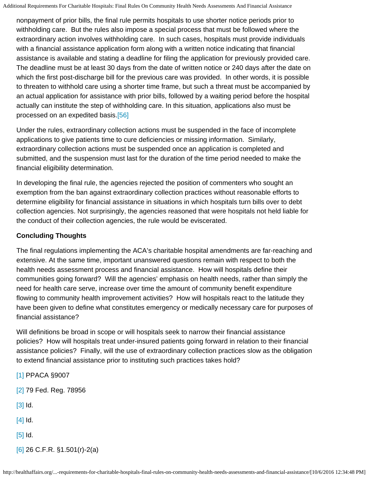nonpayment of prior bills, the final rule permits hospitals to use shorter notice periods prior to withholding care. But the rules also impose a special process that must be followed where the extraordinary action involves withholding care. In such cases, hospitals must provide individuals with a financial assistance application form along with a written notice indicating that financial assistance is available and stating a deadline for filing the application for previously provided care. The deadline must be at least 30 days from the date of written notice or 240 days after the date on which the first post-discharge bill for the previous care was provided. In other words, it is possible to threaten to withhold care using a shorter time frame, but such a threat must be accompanied by an actual application for assistance with prior bills, followed by a waiting period before the hospital actually can institute the step of withholding care. In this situation, applications also must be processed on an expedited basis.[\[56\]](#page-12-20)

<span id="page-10-6"></span>Under the rules, extraordinary collection actions must be suspended in the face of incomplete applications to give patients time to cure deficiencies or missing information. Similarly, extraordinary collection actions must be suspended once an application is completed and submitted, and the suspension must last for the duration of the time period needed to make the financial eligibility determination.

In developing the final rule, the agencies rejected the position of commenters who sought an exemption from the ban against extraordinary collection practices without reasonable efforts to determine eligibility for financial assistance in situations in which hospitals turn bills over to debt collection agencies. Not surprisingly, the agencies reasoned that were hospitals not held liable for the conduct of their collection agencies, the rule would be eviscerated.

## **Concluding Thoughts**

The final regulations implementing the ACA's charitable hospital amendments are far-reaching and extensive. At the same time, important unanswered questions remain with respect to both the health needs assessment process and financial assistance. How will hospitals define their communities going forward? Will the agencies' emphasis on health needs, rather than simply the need for health care serve, increase over time the amount of community benefit expenditure flowing to community health improvement activities? How will hospitals react to the latitude they have been given to define what constitutes emergency or medically necessary care for purposes of financial assistance?

Will definitions be broad in scope or will hospitals seek to narrow their financial assistance policies? How will hospitals treat under-insured patients going forward in relation to their financial assistance policies? Finally, will the use of extraordinary collection practices slow as the obligation to extend financial assistance prior to instituting such practices takes hold?

- <span id="page-10-2"></span><span id="page-10-1"></span><span id="page-10-0"></span>[\[1\]](#page-0-1) PPACA §9007 [\[2\]](#page-1-0) 79 Fed. Reg. 78956 [\[3\]](#page-2-0) Id. [\[4\]](#page-2-1) Id. [\[5\]](#page-3-0) Id.
- <span id="page-10-5"></span><span id="page-10-4"></span><span id="page-10-3"></span>[\[6\]](#page-3-1) 26 C.F.R. §1.501(r)-2(a)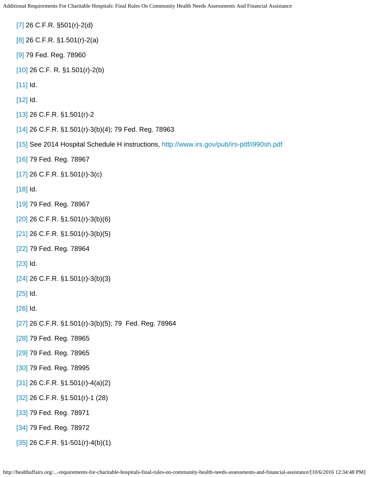- <span id="page-11-0"></span>[\[7\]](#page-3-2) 26 C.F.R. §501(r)-2(d)
- <span id="page-11-1"></span>[\[8\]](#page-3-3) 26 C.F.R. §1.501(r)-2(a)
- <span id="page-11-2"></span>[\[9\]](#page-3-4) 79 Fed. Reg. 78960
- <span id="page-11-3"></span>[\[10\]](#page-3-5) 26 C.F. R. §1.501(r)-2(b)
- <span id="page-11-4"></span>[\[11\]](#page-3-6) Id.
- <span id="page-11-5"></span>[\[12\]](#page-3-7) Id.
- <span id="page-11-6"></span>[\[13\]](#page-3-8) 26 C.F.R. §1.501(r)-2
- <span id="page-11-7"></span>[\[14\]](#page-4-0) 26 C.F.R. §1.501(r)-3(b)(4); 79 Fed. Reg. 78963
- <span id="page-11-8"></span>[\[15\]](#page-4-1) See 2014 Hospital Schedule H instructions,<http://www.irs.gov/pub/irs-pdf/i990sh.pdf>
- <span id="page-11-9"></span>[\[16\]](#page-4-2) 79 Fed. Reg. 78967
- <span id="page-11-10"></span>[\[17\]](#page-4-3) 26 C.F.R. §1.501(r)-3(c)
- <span id="page-11-11"></span>[\[18\]](#page-4-4) Id.
- <span id="page-11-12"></span>[\[19\]](#page-4-5) 79 Fed. Reg. 78967
- <span id="page-11-13"></span>[\[20\]](#page-4-6) 26 C.F.R. §1.501(r)-3(b)(6)
- <span id="page-11-14"></span>[\[21\]](#page-5-0) 26 C.F.R. §1.501(r)-3(b)(5)
- <span id="page-11-15"></span>[\[22\]](#page-5-1) 79 Fed. Reg. 78964
- <span id="page-11-16"></span>[\[23\]](#page-5-2) Id.
- <span id="page-11-17"></span>[\[24\]](#page-5-3) 26 C.F.R. §1.501(r)-3(b)(3)
- <span id="page-11-18"></span>[\[25\]](#page-5-4) Id.
- <span id="page-11-19"></span>[\[26\]](#page-5-5) Id.
- <span id="page-11-20"></span>[\[27\]](#page-5-6) 26 C.F.R. §1.501(r)-3(b)(5); 79 Fed. Reg. 78964
- <span id="page-11-21"></span>[\[28\]](#page-5-7) 79 Fed. Reg. 78965
- <span id="page-11-22"></span>[\[29\]](#page-5-8) 79 Fed. Reg. 78965
- <span id="page-11-23"></span>[\[30\]](#page-6-0) 79 Fed. Reg. 78995
- <span id="page-11-24"></span>[\[31\]](#page-6-1) 26 C.F.R. §1.501(r)-4(a)(2)
- <span id="page-11-25"></span>[\[32\]](#page-6-2) 26 C.F.R. §1.501(r)-1 (28)
- <span id="page-11-26"></span>[\[33\]](#page-6-3) 79 Fed. Reg. 78971
- <span id="page-11-27"></span>[\[34\]](#page-6-4) 79 Fed. Reg. 78972
- <span id="page-11-28"></span>[\[35\]](#page-6-5) 26 C.F.R. §1-501(r)-4(b)(1)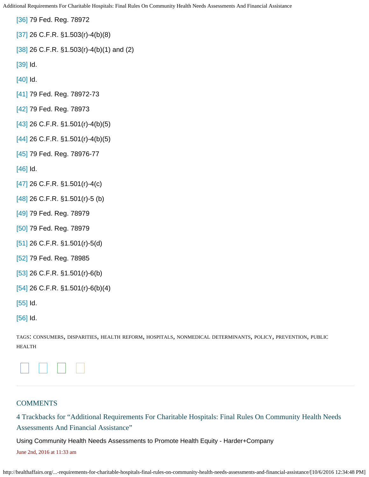<span id="page-12-10"></span><span id="page-12-9"></span><span id="page-12-8"></span><span id="page-12-7"></span><span id="page-12-6"></span><span id="page-12-5"></span><span id="page-12-4"></span><span id="page-12-3"></span><span id="page-12-2"></span><span id="page-12-1"></span><span id="page-12-0"></span>[\[36\]](#page-6-6) 79 Fed. Reg. 78972 [\[37\]](#page-7-0) 26 C.F.R. §1.503(r)-4(b)(8) [\[38\]](#page-7-1) 26 C.F.R. §1.503(r)-4(b)(1) and (2) [\[39\]](#page-7-2) Id. [\[40\]](#page-7-3) Id. [\[41\]](#page-7-4) 79 Fed. Reg. 78972-73 [\[42\]](#page-7-5) 79 Fed. Reg. 78973 [\[43\]](#page-7-6) 26 C.F.R. §1.501(r)-4(b)(5) [\[44\]](#page-8-0) 26 C.F.R. §1.501(r)-4(b)(5) [\[45\]](#page-8-1) 79 Fed. Reg. 78976-77 [\[46\]](#page-8-2) Id. [\[47\]](#page-8-3) 26 C.F.R. §1.501(r)-4(c) [\[48\]](#page-8-4) 26 C.F.R. §1.501(r)-5 (b) [\[49\]](#page-8-5) 79 Fed. Reg. 78979 [\[50\]](#page-9-0) 79 Fed. Reg. 78979 [\[51\]](#page-9-1) 26 C.F.R. §1.501(r)-5(d) [\[52\]](#page-9-2) 79 Fed. Reg. 78985 [\[53\]](#page-9-3) 26 C.F.R. §1.501(r)-6(b) [\[54\]](#page-9-4) 26 C.F.R. §1.501(r)-6(b)(4) [\[55\]](#page-9-5) Id. [\[56\]](#page-10-6) Id.

<span id="page-12-20"></span><span id="page-12-19"></span><span id="page-12-18"></span><span id="page-12-17"></span><span id="page-12-16"></span><span id="page-12-15"></span><span id="page-12-14"></span><span id="page-12-13"></span><span id="page-12-12"></span><span id="page-12-11"></span>TAGS: [CONSUmERS](http://healthaffairs.org/blog/tag/consumers/), [DISPARITIES](http://healthaffairs.org/blog/tag/disparities/), HEALTH [REFORm,](http://healthaffairs.org/blog/tag/health-reform/) [HOSPITALS](http://healthaffairs.org/blog/tag/hospitals/), NONmEDICAL [DETERmINANTS](http://healthaffairs.org/blog/tag/nonmedical-determinants/), [POLICY](http://healthaffairs.org/blog/tag/policy/), [PREvENTION,](http://healthaffairs.org/blog/tag/prevention/) [PUBLIC](http://healthaffairs.org/blog/tag/public-health/) [HEALTH](http://healthaffairs.org/blog/tag/public-health/)



### **COMMENTS**

4 Trackbacks for "Additional Requirements For Charitable Hospitals: Final Rules On Community Health Needs Assessments And Financial Assistance"

[Using Community Health Needs Assessments to Promote Health Equity - Harder+Company](http://harderco.com/news-insights/using-community-health-needs-assessments-promote-health-equity/)

June 2nd, 2016 at 11:33 am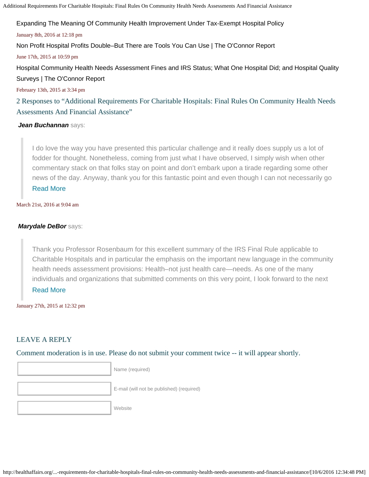[Expanding The Meaning Of Community Health Improvement Under Tax-Exempt Hospital Policy](http://healthaffairs.org/blog/2016/01/08/expanding-the-meaning-of-community-health-improvement-under-tax-exempt-hospital-policy/)

#### January 8th, 2016 at 12:18 pm

[Non Profit Hospital Profits Double–But There are Tools You Can Use | The O'Connor Report](http://oconnorreport.com/2015/06/non-profit-hospital-profits-double-but-there-are-tools-you-can-use/)

June 17th, 2015 at 10:59 pm

[Hospital Community Health Needs Assessment Fines and IRS Status; What One Hospital Did; and Hospital Quality](http://oconnorreport.com/2015/02/hospital-community-health-needs-assessment-fines-and-irs-status-what-one-hospital-did-and-hospital-quality-surveys/) [Surveys | The O'Connor Report](http://oconnorreport.com/2015/02/hospital-community-health-needs-assessment-fines-and-irs-status-what-one-hospital-did-and-hospital-quality-surveys/)

February 13th, 2015 at 3:34 pm

2 Responses to "Additional Requirements For Charitable Hospitals: Final Rules On Community Health Needs Assessments And Financial Assistance"

## **Jean Buchannan** says:

I do love the way you have presented this particular challenge and it really does supply us a lot of fodder for thought. Nonetheless, coming from just what I have observed, I simply wish when other commentary stack on that folks stay on point and don't embark upon a tirade regarding some other news of the day. Anyway, thank you for this fantastic point and even though I can not necessarily go [Read More](#page-0-0) 

March 21st, 2016 at 9:04 am

## $Mary$ dale DeBor says:

Thank you Professor Rosenbaum for this excellent summary of the IRS Final Rule applicable to Charitable Hospitals and in particular the emphasis on the important new language in the community health needs assessment provisions: Health–not just health care—needs. As one of the many individuals and organizations that submitted comments on this very point, I look forward to the next [Read More](#page-0-0)

January 27th, 2015 at 12:32 pm

## LEAVE A RE

l

l

 Comment moderation is in use. Please do not submit your comment twice -- it will appear shortly.  $\overline{a}$ 

Name (required)

E-mail (will not be published) (required)

**Website**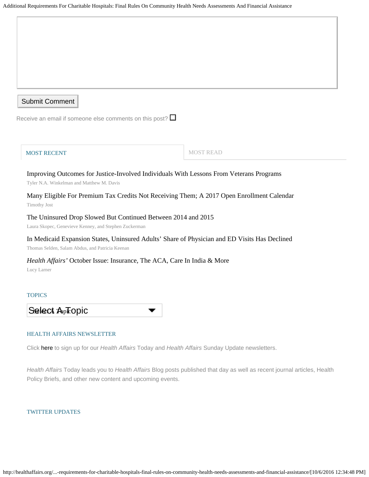| Submit Comment |  |  |
|----------------|--|--|

Receive an email if someone else comments on this post?  $\square$ 

| <b>MOST RECENT</b> |
|--------------------|
|--------------------|

[Improving Outcomes for Justice-Involved Individuals With Lessons From Veterans Programs](http://healthaffairs.org/blog/2016/10/06/improving-outcomes-for-justice-involved-individuals-with-lessons-from-veterans-programs/) [Tyler N.A. Winkelman](http://healthaffairs.org/blog/author/winkelman/) and [Matthew M. Davis](http://healthaffairs.org/blog/author/mmdavis/)

[Many Eligible For Premium Tax Credits Not Receiving Them; A 2017 Open Enrollment Calendar](http://healthaffairs.org/blog/2016/10/05/many-eligible-for-premium-tax-credits-not-receiving-them-a-2017-open-enrollment-calendar/) [Timothy Jost](http://healthaffairs.org/blog/author/jost/) **Submit Comment**<br>
eceive an email if someon<br>
MOST RECENT<br>
Improving Outcomes f<br>
Tyler N.A. Winkelman and Ma<br>
Many Eligible For Pre<br>
Timothy Jost<br>
The Uninsured Drop S<br>
Laura Skopec, Genevieve Ken<br>
In Medicaid Expansion<br>
Th

#### [The Uninsured Drop Slowed But Continued Between 2014 and 2015](http://healthaffairs.org/blog/2016/10/05/the-uninsured-drop-slowed-but-continued-between-2014-and-2015/)

[Laura Skopec](http://healthaffairs.org/blog/author/skopec/), [Genevieve Kenney](http://healthaffairs.org/blog/author/kenney/), and [Stephen Zuckerman](http://healthaffairs.org/blog/author/szuckerman/)

#### [In Medicaid Expansion States, Uninsured Adults' Share of Physician and ED Visits Has Declined](http://healthaffairs.org/blog/2016/10/05/in-medicaid-expansion-states-uninsured-adults-share-of-physician-and-ed-visits-has-declined/)

[Thomas Selden,](http://healthaffairs.org/blog/author/selden/) [Salam Abdus](http://healthaffairs.org/blog/author/abdus/), and [Patricia Keenan](http://healthaffairs.org/blog/author/keenan/)

#### *[Health Affairs'](http://healthaffairs.org/blog/2016/10/04/health-affairs-october-issue-insurance-the-aca-care-in-india-more/)* [October Issue: Insurance, The ACA, Care In India & More](http://healthaffairs.org/blog/2016/10/04/health-affairs-october-issue-insurance-the-aca-care-in-india-more/)

[Lucy Larner](http://healthaffairs.org/blog/author/larner/)

#### **TOPICS**



#### HEALTH AFFAIRS NEWSLETTER

Click [here](http://www.healthaffairs.org/1260_opt_in.php) to sign up for our *Health Affairs* Today and *Health Affairs* Sunday Update newsletters.

*Health Affairs* Today leads you to *Health Affairs* Blog posts published that day as well as recent journal articles, Health Policy Briefs, and other new content and upcoming events.

#### TWITTER UPDATES